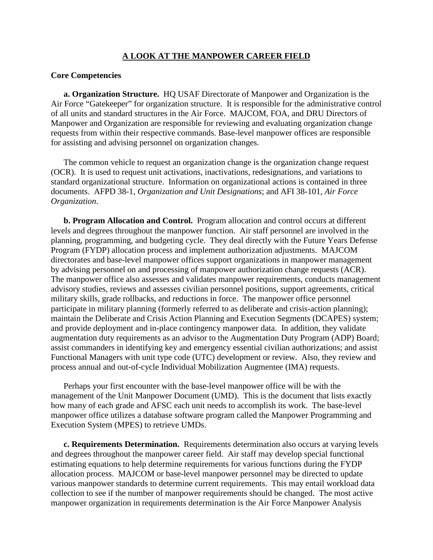#### **A LOOK AT THE MANPOWER CAREER FIELD**

#### **Core Competencies**

**a. Organization Structure.** HQ USAF Directorate of Manpower and Organization is the Air Force "Gatekeeper" for organization structure. It is responsible for the administrative control of all units and standard structures in the Air Force. MAJCOM, FOA, and DRU Directors of Manpower and Organization are responsible for reviewing and evaluating organization change requests from within their respective commands. Base-level manpower offices are responsible for assisting and advising personnel on organization changes.

The common vehicle to request an organization change is the organization change request (OCR). It is used to request unit activations, inactivations, redesignations, and variations to standard organizational structure. Information on organizational actions is contained in three documents. AFPD 38-1, *Organization and Unit Designations*; and AFI 38-101, *Air Force Organization*.

**b. Program Allocation and Control.** Program allocation and control occurs at different levels and degrees throughout the manpower function. Air staff personnel are involved in the planning, programming, and budgeting cycle. They deal directly with the Future Years Defense Program (FYDP) allocation process and implement authorization adjustments. MAJCOM directorates and base-level manpower offices support organizations in manpower management by advising personnel on and processing of manpower authorization change requests (ACR). The manpower office also assesses and validates manpower requirements, conducts management advisory studies, reviews and assesses civilian personnel positions, support agreements, critical military skills, grade rollbacks, and reductions in force. The manpower office personnel participate in military planning (formerly referred to as deliberate and crisis-action planning); maintain the Deliberate and Crisis Action Planning and Execution Segments (DCAPES) system; and provide deployment and in-place contingency manpower data. In addition, they validate augmentation duty requirements as an advisor to the Augmentation Duty Program (ADP) Board; assist commanders in identifying key and emergency essential civilian authorizations; and assist Functional Managers with unit type code (UTC) development or review. Also, they review and process annual and out-of-cycle Individual Mobilization Augmentee (IMA) requests.

Perhaps your first encounter with the base-level manpower office will be with the management of the Unit Manpower Document (UMD). This is the document that lists exactly how many of each grade and AFSC each unit needs to accomplish its work. The base-level manpower office utilizes a database software program called the Manpower Programming and Execution System (MPES) to retrieve UMDs.

**c. Requirements Determination.** Requirements determination also occurs at varying levels and degrees throughout the manpower career field. Air staff may develop special functional estimating equations to help determine requirements for various functions during the FYDP allocation process. MAJCOM or base-level manpower personnel may be directed to update various manpower standards to determine current requirements. This may entail workload data collection to see if the number of manpower requirements should be changed. The most active manpower organization in requirements determination is the Air Force Manpower Analysis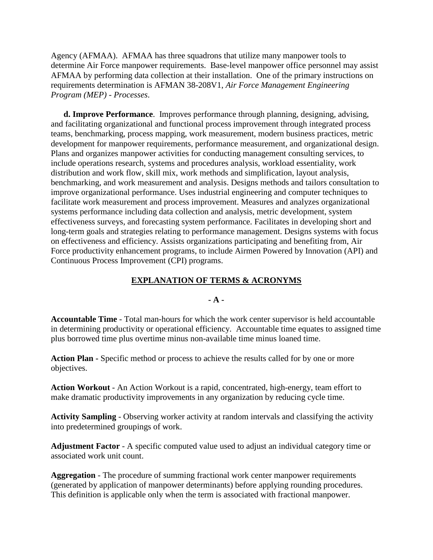Agency (AFMAA). AFMAA has three squadrons that utilize many manpower tools to determine Air Force manpower requirements. Base-level manpower office personnel may assist AFMAA by performing data collection at their installation. One of the primary instructions on requirements determination is AFMAN 38-208V1, *Air Force Management Engineering Program (MEP) - Processes*.

**d. Improve Performance**. Improves performance through planning, designing, advising, and facilitating organizational and functional process improvement through integrated process teams, benchmarking, process mapping, work measurement, modern business practices, metric development for manpower requirements, performance measurement, and organizational design. Plans and organizes manpower activities for conducting management consulting services, to include operations research, systems and procedures analysis, workload essentiality, work distribution and work flow, skill mix, work methods and simplification, layout analysis, benchmarking, and work measurement and analysis. Designs methods and tailors consultation to improve organizational performance. Uses industrial engineering and computer techniques to facilitate work measurement and process improvement. Measures and analyzes organizational systems performance including data collection and analysis, metric development, system effectiveness surveys, and forecasting system performance. Facilitates in developing short and long-term goals and strategies relating to performance management. Designs systems with focus on effectiveness and efficiency. Assists organizations participating and benefiting from, Air Force productivity enhancement programs, to include Airmen Powered by Innovation (API) and Continuous Process Improvement (CPI) programs.

### **EXPLANATION OF TERMS & ACRONYMS**

### **- A -**

**Accountable Time** - Total man-hours for which the work center supervisor is held accountable in determining productivity or operational efficiency. Accountable time equates to assigned time plus borrowed time plus overtime minus non-available time minus loaned time.

**Action Plan -** Specific method or process to achieve the results called for by one or more objectives.

**Action Workout** - An Action Workout is a rapid, concentrated, high-energy, team effort to make dramatic productivity improvements in any organization by reducing cycle time.

**Activity Sampling** - Observing worker activity at random intervals and classifying the activity into predetermined groupings of work.

**Adjustment Factor** - A specific computed value used to adjust an individual category time or associated work unit count.

**Aggregation** - The procedure of summing fractional work center manpower requirements (generated by application of manpower determinants) before applying rounding procedures. This definition is applicable only when the term is associated with fractional manpower.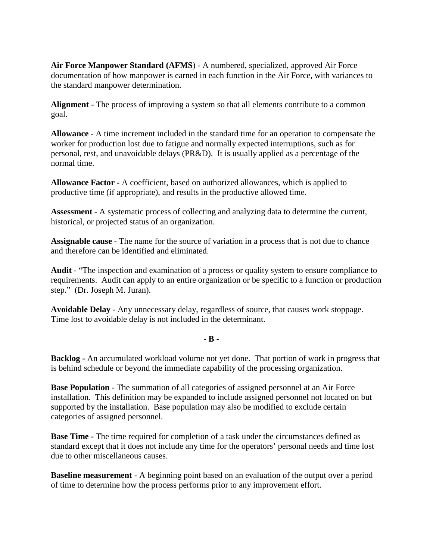**Air Force Manpower Standard (AFMS**) - A numbered, specialized, approved Air Force documentation of how manpower is earned in each function in the Air Force, with variances to the standard manpower determination.

**Alignment** - The process of improving a system so that all elements contribute to a common goal.

**Allowance** - A time increment included in the standard time for an operation to compensate the worker for production lost due to fatigue and normally expected interruptions, such as for personal, rest, and unavoidable delays (PR&D). It is usually applied as a percentage of the normal time.

**Allowance Factor -** A coefficient, based on authorized allowances, which is applied to productive time (if appropriate), and results in the productive allowed time.

**Assessment** - A systematic process of collecting and analyzing data to determine the current, historical, or projected status of an organization.

**Assignable cause** - The name for the source of variation in a process that is not due to chance and therefore can be identified and eliminated.

**Audit** - "The inspection and examination of a process or quality system to ensure compliance to requirements. Audit can apply to an entire organization or be specific to a function or production step." (Dr. Joseph M. Juran).

**Avoidable Delay** - Any unnecessary delay, regardless of source, that causes work stoppage. Time lost to avoidable delay is not included in the determinant.

# **- B -**

**Backlog -** An accumulated workload volume not yet done. That portion of work in progress that is behind schedule or beyond the immediate capability of the processing organization.

**Base Population** - The summation of all categories of assigned personnel at an Air Force installation. This definition may be expanded to include assigned personnel not located on but supported by the installation. Base population may also be modified to exclude certain categories of assigned personnel.

**Base Time -** The time required for completion of a task under the circumstances defined as standard except that it does not include any time for the operators' personal needs and time lost due to other miscellaneous causes.

**Baseline measurement** - A beginning point based on an evaluation of the output over a period of time to determine how the process performs prior to any improvement effort.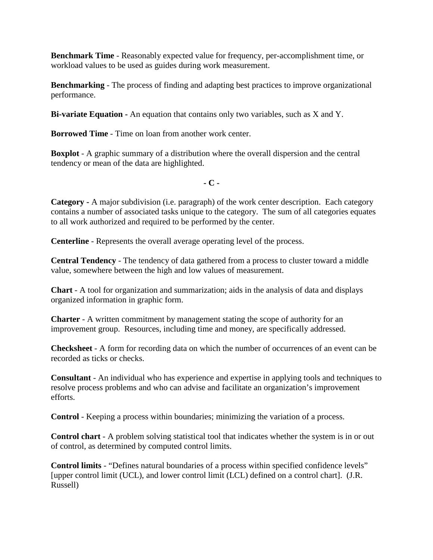**Benchmark Time** - Reasonably expected value for frequency, per-accomplishment time, or workload values to be used as guides during work measurement.

**Benchmarking** - The process of finding and adapting best practices to improve organizational performance.

**Bi-variate Equation -** An equation that contains only two variables, such as X and Y.

**Borrowed Time** - Time on loan from another work center.

**Boxplot** - A graphic summary of a distribution where the overall dispersion and the central tendency or mean of the data are highlighted.

 **- C -**

**Category -** A major subdivision (i.e. paragraph) of the work center description. Each category contains a number of associated tasks unique to the category. The sum of all categories equates to all work authorized and required to be performed by the center.

**Centerline** - Represents the overall average operating level of the process.

**Central Tendency** - The tendency of data gathered from a process to cluster toward a middle value, somewhere between the high and low values of measurement.

**Chart** - A tool for organization and summarization; aids in the analysis of data and displays organized information in graphic form.

**Charter** - A written commitment by management stating the scope of authority for an improvement group. Resources, including time and money, are specifically addressed.

**Checksheet** - A form for recording data on which the number of occurrences of an event can be recorded as ticks or checks.

**Consultant** - An individual who has experience and expertise in applying tools and techniques to resolve process problems and who can advise and facilitate an organization's improvement efforts.

**Control** - Keeping a process within boundaries; minimizing the variation of a process.

**Control chart** - A problem solving statistical tool that indicates whether the system is in or out of control, as determined by computed control limits.

**Control limits** - "Defines natural boundaries of a process within specified confidence levels" [upper control limit (UCL), and lower control limit (LCL) defined on a control chart]. (J.R. Russell)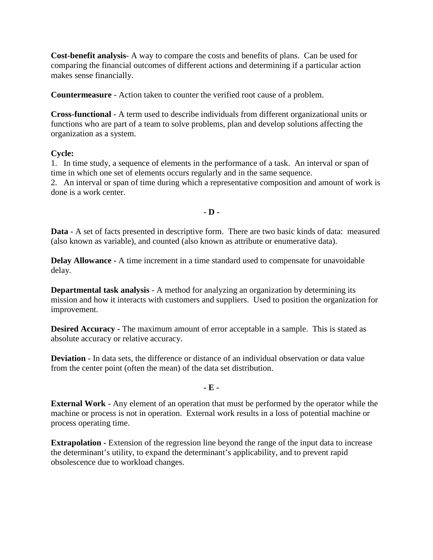**Cost-benefit analysis**- A way to compare the costs and benefits of plans. Can be used for comparing the financial outcomes of different actions and determining if a particular action makes sense financially.

**Countermeasure** - Action taken to counter the verified root cause of a problem.

**Cross-functional** - A term used to describe individuals from different organizational units or functions who are part of a team to solve problems, plan and develop solutions affecting the organization as a system.

### **Cycle:**

1. In time study, a sequence of elements in the performance of a task. An interval or span of time in which one set of elements occurs regularly and in the same sequence. 2. An interval or span of time during which a representative composition and amount of work is done is a work center.

**- D -**

**Data** - A set of facts presented in descriptive form. There are two basic kinds of data: measured (also known as variable), and counted (also known as attribute or enumerative data).

**Delay Allowance -** A time increment in a time standard used to compensate for unavoidable delay.

**Departmental task analysis** - A method for analyzing an organization by determining its mission and how it interacts with customers and suppliers. Used to position the organization for improvement.

**Desired Accuracy -** The maximum amount of error acceptable in a sample. This is stated as absolute accuracy or relative accuracy.

**Deviation** - In data sets, the difference or distance of an individual observation or data value from the center point (often the mean) of the data set distribution.

### **- E -**

**External Work** - Any element of an operation that must be performed by the operator while the machine or process is not in operation. External work results in a loss of potential machine or process operating time.

**Extrapolation -** Extension of the regression line beyond the range of the input data to increase the determinant's utility, to expand the determinant's applicability, and to prevent rapid obsolescence due to workload changes.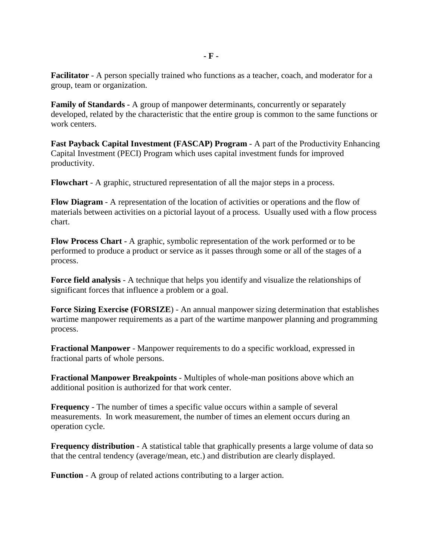**Facilitator** - A person specially trained who functions as a teacher, coach, and moderator for a group, team or organization.

**Family of Standards -** A group of manpower determinants, concurrently or separately developed, related by the characteristic that the entire group is common to the same functions or work centers.

**Fast Payback Capital Investment (FASCAP) Program** - A part of the Productivity Enhancing Capital Investment (PECI) Program which uses capital investment funds for improved productivity.

**Flowchart** - A graphic, structured representation of all the major steps in a process.

**Flow Diagram** - A representation of the location of activities or operations and the flow of materials between activities on a pictorial layout of a process. Usually used with a flow process chart.

**Flow Process Chart -** A graphic, symbolic representation of the work performed or to be performed to produce a product or service as it passes through some or all of the stages of a process.

**Force field analysis** - A technique that helps you identify and visualize the relationships of significant forces that influence a problem or a goal.

**Force Sizing Exercise (FORSIZE**) - An annual manpower sizing determination that establishes wartime manpower requirements as a part of the wartime manpower planning and programming process.

**Fractional Manpower** - Manpower requirements to do a specific workload, expressed in fractional parts of whole persons.

**Fractional Manpower Breakpoints** - Multiples of whole-man positions above which an additional position is authorized for that work center.

**Frequency** - The number of times a specific value occurs within a sample of several measurements. In work measurement, the number of times an element occurs during an operation cycle.

**Frequency distribution** - A statistical table that graphically presents a large volume of data so that the central tendency (average/mean, etc.) and distribution are clearly displayed.

**Function** - A group of related actions contributing to a larger action.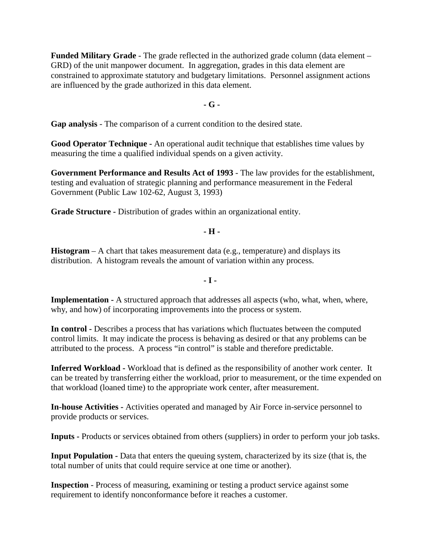**Funded Military Grade** - The grade reflected in the authorized grade column (data element – GRD) of the unit manpower document. In aggregation, grades in this data element are constrained to approximate statutory and budgetary limitations. Personnel assignment actions are influenced by the grade authorized in this data element.

#### **- G -**

**Gap analysis** - The comparison of a current condition to the desired state.

**Good Operator Technique -** An operational audit technique that establishes time values by measuring the time a qualified individual spends on a given activity.

**Government Performance and Results Act of 1993** - The law provides for the establishment, testing and evaluation of strategic planning and performance measurement in the Federal Government (Public Law 102-62, August 3, 1993)

**Grade Structure -** Distribution of grades within an organizational entity.

**- H -**

**Histogram** – A chart that takes measurement data (e.g., temperature) and displays its distribution. A histogram reveals the amount of variation within any process.

**- I -**

**Implementation -** A structured approach that addresses all aspects (who, what, when, where, why, and how) of incorporating improvements into the process or system.

**In control -** Describes a process that has variations which fluctuates between the computed control limits. It may indicate the process is behaving as desired or that any problems can be attributed to the process. A process "in control" is stable and therefore predictable.

**Inferred Workload -** Workload that is defined as the responsibility of another work center. It can be treated by transferring either the workload, prior to measurement, or the time expended on that workload (loaned time) to the appropriate work center, after measurement.

**In-house Activities -** Activities operated and managed by Air Force in-service personnel to provide products or services.

**Inputs -** Products or services obtained from others (suppliers) in order to perform your job tasks.

**Input Population -** Data that enters the queuing system, characterized by its size (that is, the total number of units that could require service at one time or another).

**Inspection** - Process of measuring, examining or testing a product service against some requirement to identify nonconformance before it reaches a customer.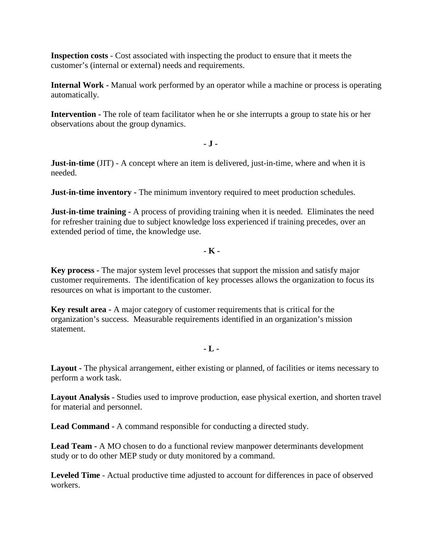**Inspection costs** - Cost associated with inspecting the product to ensure that it meets the customer's (internal or external) needs and requirements.

**Internal Work -** Manual work performed by an operator while a machine or process is operating automatically.

**Intervention -** The role of team facilitator when he or she interrupts a group to state his or her observations about the group dynamics.

**- J -**

**Just-in-time** (JIT) - A concept where an item is delivered, just-in-time, where and when it is needed.

**Just-in-time inventory -** The minimum inventory required to meet production schedules.

**Just-in-time training -** A process of providing training when it is needed. Eliminates the need for refresher training due to subject knowledge loss experienced if training precedes, over an extended period of time, the knowledge use.

## **- K -**

**Key process -** The major system level processes that support the mission and satisfy major customer requirements. The identification of key processes allows the organization to focus its resources on what is important to the customer.

**Key result area -** A major category of customer requirements that is critical for the organization's success. Measurable requirements identified in an organization's mission statement.

## **- L -**

**Layout -** The physical arrangement, either existing or planned, of facilities or items necessary to perform a work task.

**Layout Analysis -** Studies used to improve production, ease physical exertion, and shorten travel for material and personnel.

**Lead Command -** A command responsible for conducting a directed study.

**Lead Team -** A MO chosen to do a functional review manpower determinants development study or to do other MEP study or duty monitored by a command.

**Leveled Time** - Actual productive time adjusted to account for differences in pace of observed workers.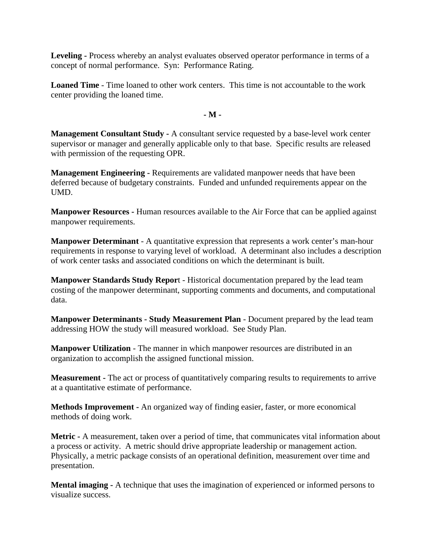**Leveling -** Process whereby an analyst evaluates observed operator performance in terms of a concept of normal performance. Syn: Performance Rating.

**Loaned Time** - Time loaned to other work centers. This time is not accountable to the work center providing the loaned time.

**- M -**

**Management Consultant Study -** A consultant service requested by a base-level work center supervisor or manager and generally applicable only to that base. Specific results are released with permission of the requesting OPR.

**Management Engineering -** Requirements are validated manpower needs that have been deferred because of budgetary constraints. Funded and unfunded requirements appear on the UMD.

**Manpower Resources -** Human resources available to the Air Force that can be applied against manpower requirements.

**Manpower Determinant** - A quantitative expression that represents a work center's man-hour requirements in response to varying level of workload. A determinant also includes a description of work center tasks and associated conditions on which the determinant is built.

**Manpower Standards Study Repor**t - Historical documentation prepared by the lead team costing of the manpower determinant, supporting comments and documents, and computational data.

**Manpower Determinants - Study Measurement Plan** - Document prepared by the lead team addressing HOW the study will measured workload. See Study Plan.

**Manpower Utilization** - The manner in which manpower resources are distributed in an organization to accomplish the assigned functional mission.

**Measurement -** The act or process of quantitatively comparing results to requirements to arrive at a quantitative estimate of performance.

**Methods Improvement -** An organized way of finding easier, faster, or more economical methods of doing work.

**Metric -** A measurement, taken over a period of time, that communicates vital information about a process or activity. A metric should drive appropriate leadership or management action. Physically, a metric package consists of an operational definition, measurement over time and presentation.

**Mental imaging -** A technique that uses the imagination of experienced or informed persons to visualize success.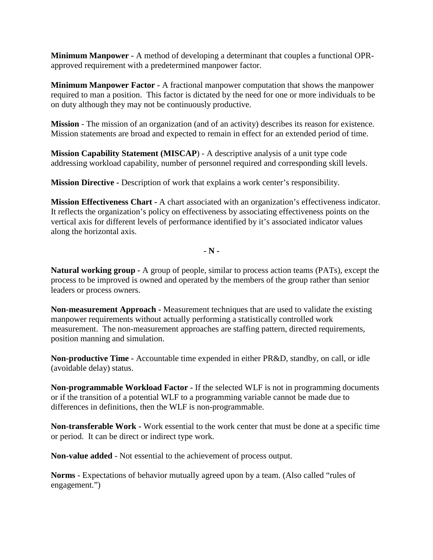**Minimum Manpower -** A method of developing a determinant that couples a functional OPRapproved requirement with a predetermined manpower factor.

**Minimum Manpower Factor -** A fractional manpower computation that shows the manpower required to man a position. This factor is dictated by the need for one or more individuals to be on duty although they may not be continuously productive.

**Mission** - The mission of an organization (and of an activity) describes its reason for existence. Mission statements are broad and expected to remain in effect for an extended period of time.

**Mission Capability Statement (MISCAP**) - A descriptive analysis of a unit type code addressing workload capability, number of personnel required and corresponding skill levels.

**Mission Directive -** Description of work that explains a work center's responsibility.

**Mission Effectiveness Chart -** A chart associated with an organization's effectiveness indicator. It reflects the organization's policy on effectiveness by associating effectiveness points on the vertical axis for different levels of performance identified by it's associated indicator values along the horizontal axis.

**- N -**

**Natural working group -** A group of people, similar to process action teams (PATs), except the process to be improved is owned and operated by the members of the group rather than senior leaders or process owners.

**Non-measurement Approach -** Measurement techniques that are used to validate the existing manpower requirements without actually performing a statistically controlled work measurement. The non-measurement approaches are staffing pattern, directed requirements, position manning and simulation.

**Non-productive Time -** Accountable time expended in either PR&D, standby, on call, or idle (avoidable delay) status.

**Non-programmable Workload Factor -** If the selected WLF is not in programming documents or if the transition of a potential WLF to a programming variable cannot be made due to differences in definitions, then the WLF is non-programmable.

**Non-transferable Work -** Work essential to the work center that must be done at a specific time or period. It can be direct or indirect type work.

**Non-value added** - Not essential to the achievement of process output.

**Norms** - Expectations of behavior mutually agreed upon by a team. (Also called "rules of engagement.")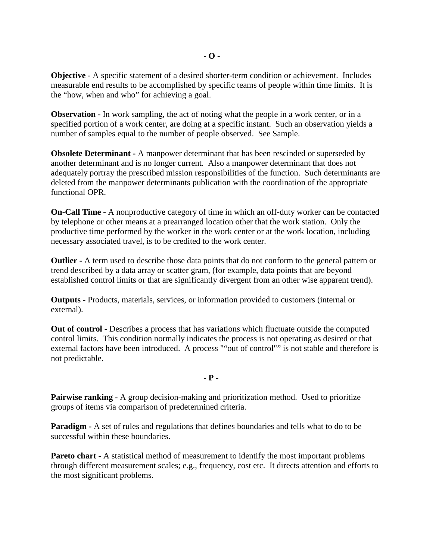**Objective** - A specific statement of a desired shorter-term condition or achievement. Includes measurable end results to be accomplished by specific teams of people within time limits. It is the "how, when and who" for achieving a goal.

**Observation -** In work sampling, the act of noting what the people in a work center, or in a specified portion of a work center, are doing at a specific instant. Such an observation yields a number of samples equal to the number of people observed. See Sample.

**Obsolete Determinant -** A manpower determinant that has been rescinded or superseded by another determinant and is no longer current. Also a manpower determinant that does not adequately portray the prescribed mission responsibilities of the function. Such determinants are deleted from the manpower determinants publication with the coordination of the appropriate functional OPR.

**On-Call Time -** A nonproductive category of time in which an off-duty worker can be contacted by telephone or other means at a prearranged location other that the work station. Only the productive time performed by the worker in the work center or at the work location, including necessary associated travel, is to be credited to the work center.

**Outlier -** A term used to describe those data points that do not conform to the general pattern or trend described by a data array or scatter gram, (for example, data points that are beyond established control limits or that are significantly divergent from an other wise apparent trend).

**Outputs -** Products, materials, services, or information provided to customers (internal or external).

**Out of control -** Describes a process that has variations which fluctuate outside the computed control limits. This condition normally indicates the process is not operating as desired or that external factors have been introduced. A process ""out of control"" is not stable and therefore is not predictable.

**- P -**

**Pairwise ranking -** A group decision-making and prioritization method. Used to prioritize groups of items via comparison of predetermined criteria.

**Paradigm -** A set of rules and regulations that defines boundaries and tells what to do to be successful within these boundaries.

**Pareto chart -** A statistical method of measurement to identify the most important problems through different measurement scales; e.g., frequency, cost etc. It directs attention and efforts to the most significant problems.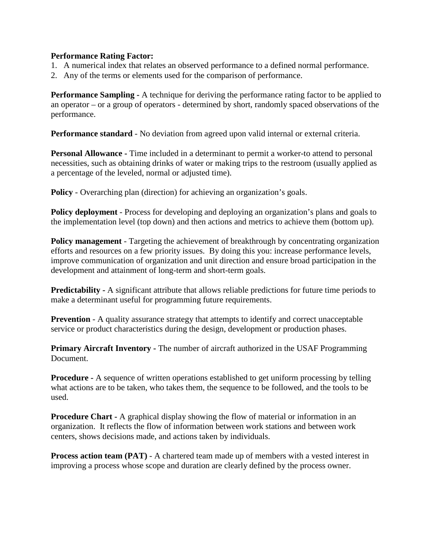### **Performance Rating Factor:**

- 1. A numerical index that relates an observed performance to a defined normal performance.
- 2. Any of the terms or elements used for the comparison of performance.

**Performance Sampling -** A technique for deriving the performance rating factor to be applied to an operator – or a group of operators - determined by short, randomly spaced observations of the performance.

**Performance standard** - No deviation from agreed upon valid internal or external criteria.

**Personal Allowance -** Time included in a determinant to permit a worker-to attend to personal necessities, such as obtaining drinks of water or making trips to the restroom (usually applied as a percentage of the leveled, normal or adjusted time).

**Policy** - Overarching plan (direction) for achieving an organization's goals.

**Policy deployment** - Process for developing and deploying an organization's plans and goals to the implementation level (top down) and then actions and metrics to achieve them (bottom up).

**Policy management** - Targeting the achievement of breakthrough by concentrating organization efforts and resources on a few priority issues. By doing this you: increase performance levels, improve communication of organization and unit direction and ensure broad participation in the development and attainment of long-term and short-term goals.

**Predictability -** A significant attribute that allows reliable predictions for future time periods to make a determinant useful for programming future requirements.

**Prevention** - A quality assurance strategy that attempts to identify and correct unacceptable service or product characteristics during the design, development or production phases.

**Primary Aircraft Inventory -** The number of aircraft authorized in the USAF Programming Document.

**Procedure -** A sequence of written operations established to get uniform processing by telling what actions are to be taken, who takes them, the sequence to be followed, and the tools to be used.

**Procedure Chart -** A graphical display showing the flow of material or information in an organization. It reflects the flow of information between work stations and between work centers, shows decisions made, and actions taken by individuals.

**Process action team (PAT)** - A chartered team made up of members with a vested interest in improving a process whose scope and duration are clearly defined by the process owner.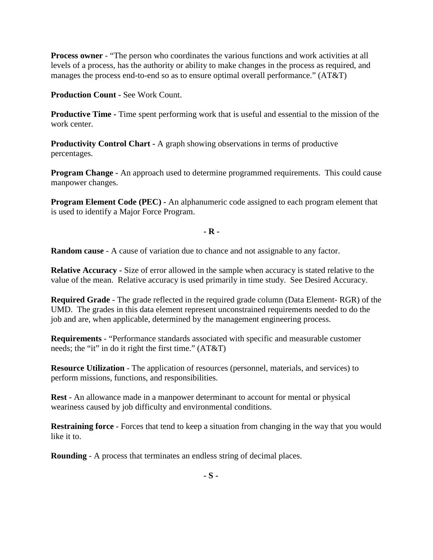**Process owner** - "The person who coordinates the various functions and work activities at all levels of a process, has the authority or ability to make changes in the process as required, and manages the process end-to-end so as to ensure optimal overall performance." (AT&T)

**Production Count -** See Work Count.

**Productive Time -** Time spent performing work that is useful and essential to the mission of the work center.

**Productivity Control Chart -** A graph showing observations in terms of productive percentages.

**Program Change -** An approach used to determine programmed requirements. This could cause manpower changes.

**Program Element Code (PEC) -** An alphanumeric code assigned to each program element that is used to identify a Major Force Program.

**- R -**

**Random cause** - A cause of variation due to chance and not assignable to any factor.

**Relative Accuracy -** Size of error allowed in the sample when accuracy is stated relative to the value of the mean. Relative accuracy is used primarily in time study. See Desired Accuracy.

**Required Grade** - The grade reflected in the required grade column (Data Element- RGR) of the UMD. The grades in this data element represent unconstrained requirements needed to do the job and are, when applicable, determined by the management engineering process.

**Requirements** - "Performance standards associated with specific and measurable customer needs; the "it" in do it right the first time." (AT&T)

**Resource Utilization** - The application of resources (personnel, materials, and services) to perform missions, functions, and responsibilities.

**Rest** - An allowance made in a manpower determinant to account for mental or physical weariness caused by job difficulty and environmental conditions.

**Restraining force** - Forces that tend to keep a situation from changing in the way that you would like it to.

**Rounding** - A process that terminates an endless string of decimal places.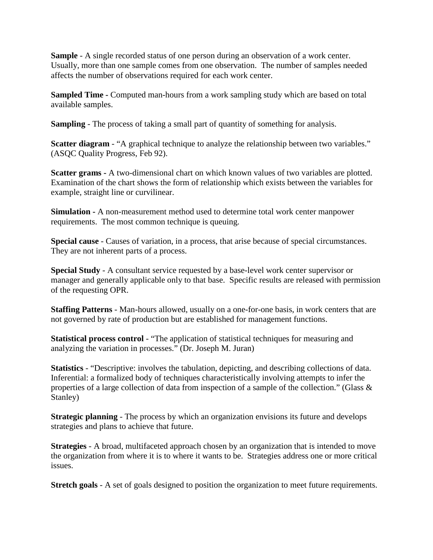**Sample** - A single recorded status of one person during an observation of a work center. Usually, more than one sample comes from one observation. The number of samples needed affects the number of observations required for each work center.

**Sampled Time -** Computed man-hours from a work sampling study which are based on total available samples.

**Sampling** - The process of taking a small part of quantity of something for analysis.

**Scatter diagram** - "A graphical technique to analyze the relationship between two variables." (ASQC Quality Progress, Feb 92).

**Scatter grams -** A two-dimensional chart on which known values of two variables are plotted. Examination of the chart shows the form of relationship which exists between the variables for example, straight line or curvilinear.

**Simulation -** A non-measurement method used to determine total work center manpower requirements. The most common technique is queuing.

**Special cause** - Causes of variation, in a process, that arise because of special circumstances. They are not inherent parts of a process.

**Special Study** - A consultant service requested by a base-level work center supervisor or manager and generally applicable only to that base. Specific results are released with permission of the requesting OPR.

**Staffing Patterns** - Man-hours allowed, usually on a one-for-one basis, in work centers that are not governed by rate of production but are established for management functions.

**Statistical process control** - "The application of statistical techniques for measuring and analyzing the variation in processes." (Dr. Joseph M. Juran)

**Statistics** - "Descriptive: involves the tabulation, depicting, and describing collections of data. Inferential: a formalized body of techniques characteristically involving attempts to infer the properties of a large collection of data from inspection of a sample of the collection." (Glass & Stanley)

**Strategic planning** - The process by which an organization envisions its future and develops strategies and plans to achieve that future.

**Strategies** - A broad, multifaceted approach chosen by an organization that is intended to move the organization from where it is to where it wants to be. Strategies address one or more critical issues.

**Stretch goals** - A set of goals designed to position the organization to meet future requirements.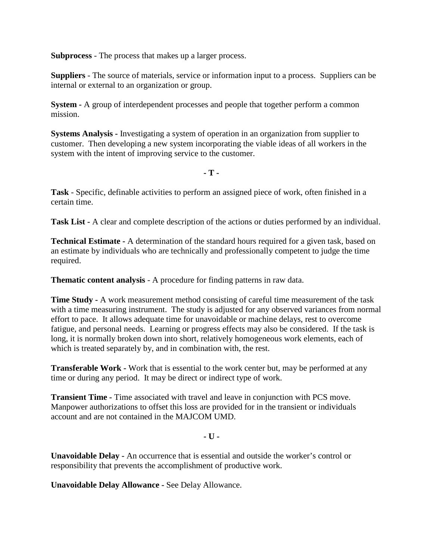**Subprocess** - The process that makes up a larger process.

**Suppliers** - The source of materials, service or information input to a process. Suppliers can be internal or external to an organization or group.

**System -** A group of interdependent processes and people that together perform a common mission.

**Systems Analysis -** Investigating a system of operation in an organization from supplier to customer. Then developing a new system incorporating the viable ideas of all workers in the system with the intent of improving service to the customer.

**- T -**

**Task** - Specific, definable activities to perform an assigned piece of work, often finished in a certain time.

**Task List -** A clear and complete description of the actions or duties performed by an individual.

**Technical Estimate -** A determination of the standard hours required for a given task, based on an estimate by individuals who are technically and professionally competent to judge the time required.

**Thematic content analysis** - A procedure for finding patterns in raw data.

**Time Study -** A work measurement method consisting of careful time measurement of the task with a time measuring instrument. The study is adjusted for any observed variances from normal effort to pace. It allows adequate time for unavoidable or machine delays, rest to overcome fatigue, and personal needs. Learning or progress effects may also be considered. If the task is long, it is normally broken down into short, relatively homogeneous work elements, each of which is treated separately by, and in combination with, the rest.

**Transferable Work -** Work that is essential to the work center but, may be performed at any time or during any period. It may be direct or indirect type of work.

**Transient Time -** Time associated with travel and leave in conjunction with PCS move. Manpower authorizations to offset this loss are provided for in the transient or individuals account and are not contained in the MAJCOM UMD.

**- U -**

**Unavoidable Delay -** An occurrence that is essential and outside the worker's control or responsibility that prevents the accomplishment of productive work.

**Unavoidable Delay Allowance -** See Delay Allowance.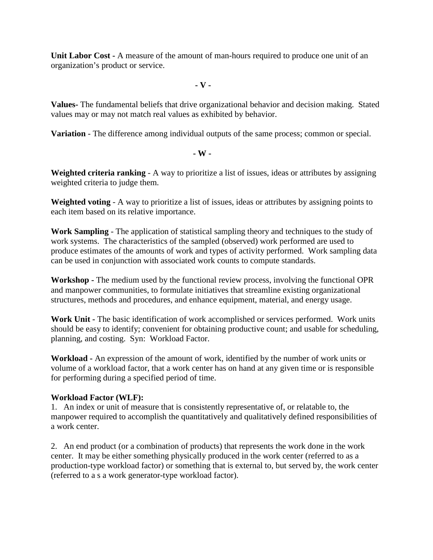**Unit Labor Cost -** A measure of the amount of man-hours required to produce one unit of an organization's product or service.

**- V -**

**Values-** The fundamental beliefs that drive organizational behavior and decision making. Stated values may or may not match real values as exhibited by behavior.

**Variation** - The difference among individual outputs of the same process; common or special.

 **- W -**

**Weighted criteria ranking** - A way to prioritize a list of issues, ideas or attributes by assigning weighted criteria to judge them.

**Weighted voting** - A way to prioritize a list of issues, ideas or attributes by assigning points to each item based on its relative importance.

**Work Sampling** - The application of statistical sampling theory and techniques to the study of work systems. The characteristics of the sampled (observed) work performed are used to produce estimates of the amounts of work and types of activity performed. Work sampling data can be used in conjunction with associated work counts to compute standards.

**Workshop -** The medium used by the functional review process, involving the functional OPR and manpower communities, to formulate initiatives that streamline existing organizational structures, methods and procedures, and enhance equipment, material, and energy usage.

**Work Unit -** The basic identification of work accomplished or services performed. Work units should be easy to identify; convenient for obtaining productive count; and usable for scheduling, planning, and costing. Syn: Workload Factor.

**Workload -** An expression of the amount of work, identified by the number of work units or volume of a workload factor, that a work center has on hand at any given time or is responsible for performing during a specified period of time.

## **Workload Factor (WLF):**

1. An index or unit of measure that is consistently representative of, or relatable to, the manpower required to accomplish the quantitatively and qualitatively defined responsibilities of a work center.

2. An end product (or a combination of products) that represents the work done in the work center. It may be either something physically produced in the work center (referred to as a production-type workload factor) or something that is external to, but served by, the work center (referred to a s a work generator-type workload factor).